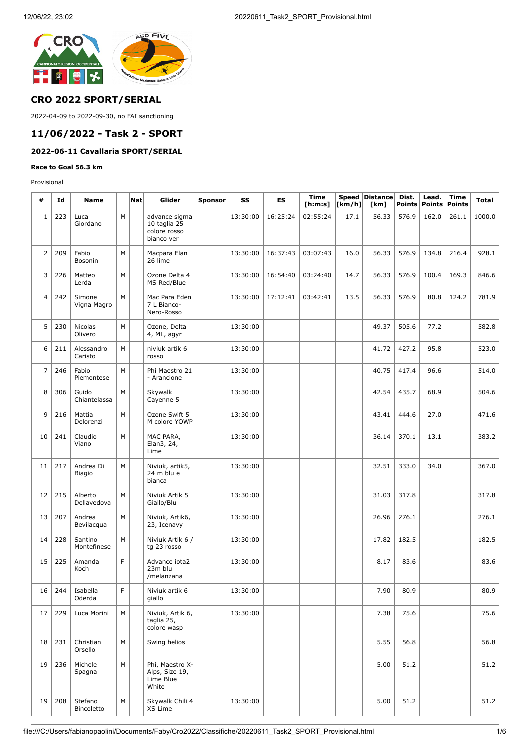

### **CRO 2022 SPORT/SERIAL**

2022-04-09 to 2022-09-30, no FAI sanctioning

# **11/06/2022 - Task 2 - SPORT**

# **2022-06-11 Cavallaria SPORT/SERIAL**

**Race to Goal 56.3 km**

Provisional

| #              | Id  | Name                                  |    | <b>Nat</b> | Glider                                                      | Sponsor | SS       | ES       | <b>Time</b><br>[ <b>h</b> : <b>m</b> : <b>s</b> ] | [km/h] | Speed Distance<br>[km] | Dist.<br><b>Points</b> | Lead.<br><b>Points</b> | <b>Time</b><br><b>Points</b> | <b>Total</b> |
|----------------|-----|---------------------------------------|----|------------|-------------------------------------------------------------|---------|----------|----------|---------------------------------------------------|--------|------------------------|------------------------|------------------------|------------------------------|--------------|
| $\mathbf{1}$   | 223 | Luca<br>Giordano                      | M  |            | advance sigma<br>10 taglia 25<br>colore rosso<br>bianco ver |         | 13:30:00 | 16:25:24 | 02:55:24                                          | 17.1   | 56.33                  | 576.9                  | 162.0                  | 261.1                        | 1000.0       |
| $\overline{2}$ | 209 | Fabio<br>Bosonin                      | M  |            | Macpara Elan<br>26 lime                                     |         | 13:30:00 | 16:37:43 | 03:07:43                                          | 16.0   | 56.33                  | 576.9                  | 134.8                  | 216.4                        | 928.1        |
| 3              | 226 | Matteo<br>Lerda                       | M  |            | Ozone Delta 4<br>MS Red/Blue                                |         | 13:30:00 | 16:54:40 | 03:24:40                                          | 14.7   | 56.33                  | 576.9                  | 100.4                  | 169.3                        | 846.6        |
| $\overline{4}$ | 242 | Simone<br>Vigna Magro                 | M  |            | Mac Para Eden<br>7 L Bianco-<br>Nero-Rosso                  |         | 13:30:00 | 17:12:41 | 03:42:41                                          | 13.5   | 56.33                  | 576.9                  | 80.8                   | 124.2                        | 781.9        |
| 5              | 230 | Nicolas<br>Olivero                    | M  |            | Ozone, Delta<br>4, ML, agyr                                 |         | 13:30:00 |          |                                                   |        | 49.37                  | 505.6                  | 77.2                   |                              | 582.8        |
| 6              | 211 | Alessandro<br>Caristo                 | M  |            | niviuk artik 6<br>rosso                                     |         | 13:30:00 |          |                                                   |        | 41.72                  | 427.2                  | 95.8                   |                              | 523.0        |
| $\overline{7}$ | 246 | Fabio<br>Piemontese                   | M  |            | Phi Maestro 21<br>- Arancione                               |         | 13:30:00 |          |                                                   |        | 40.75                  | 417.4                  | 96.6                   |                              | 514.0        |
| 8              | 306 | Guido<br>Chiantelassa                 | M  |            | Skywalk<br>Cayenne 5                                        |         | 13:30:00 |          |                                                   |        | 42.54                  | 435.7                  | 68.9                   |                              | 504.6        |
| 9              | 216 | Mattia<br>Delorenzi                   | M  |            | Ozone Swift 5<br>M colore YOWP                              |         | 13:30:00 |          |                                                   |        | 43.41                  | 444.6                  | 27.0                   |                              | 471.6        |
| 10             | 241 | Claudio<br>Viano                      | M  |            | MAC PARA,<br>Elan3, 24,<br>Lime                             |         | 13:30:00 |          |                                                   |        | 36.14                  | 370.1                  | 13.1                   |                              | 383.2        |
| 11             | 217 | Andrea Di<br>Biagio                   | M  |            | Niviuk, artik5,<br>24 m blu e<br>bianca                     |         | 13:30:00 |          |                                                   |        | 32.51                  | 333.0                  | 34.0                   |                              | 367.0        |
| 12             | 215 | Alberto<br>Dellavedova                | M  |            | Niviuk Artik 5<br>Giallo/Blu                                |         | 13:30:00 |          |                                                   |        | 31.03                  | 317.8                  |                        |                              | 317.8        |
| 13             | 207 | Andrea<br>Bevilacqua                  | M  |            | Niviuk, Artik6,<br>23, Icenavy                              |         | 13:30:00 |          |                                                   |        | 26.96                  | 276.1                  |                        |                              | 276.1        |
| 14             | 228 | Santino<br>Montefinese                | M  |            | Niviuk Artik 6 /<br>tg 23 rosso                             |         | 13:30:00 |          |                                                   |        | 17.82                  | 182.5                  |                        |                              | 182.5        |
| 15             | 225 | Amanda<br>Koch                        | F  |            | Advance iota2<br>23m blu<br>/melanzana                      |         | 13:30:00 |          |                                                   |        | 8.17                   | 83.6                   |                        |                              | 83.6         |
|                |     | $16 \mid 244 \mid$ Isabella<br>Oderda | F. |            | Niviuk artik 6<br>giallo                                    |         | 13:30:00 |          |                                                   |        | 7.90                   | 80.9                   |                        |                              | 80.9         |
| 17             | 229 | Luca Morini                           | M  |            | Niviuk, Artik 6,<br>taglia 25,<br>colore wasp               |         | 13:30:00 |          |                                                   |        | 7.38                   | 75.6                   |                        |                              | 75.6         |
| 18             | 231 | Christian<br>Orsello                  | M  |            | Swing helios                                                |         |          |          |                                                   |        | 5.55                   | 56.8                   |                        |                              | 56.8         |
| 19             | 236 | Michele<br>Spagna                     | M  |            | Phi, Maestro X-<br>Alps, Size 19,<br>Lime Blue<br>White     |         |          |          |                                                   |        | 5.00                   | 51.2                   |                        |                              | 51.2         |
| 19             | 208 | Stefano<br>Bincoletto                 | M  |            | Skywalk Chili 4<br>XS Lime                                  |         | 13:30:00 |          |                                                   |        | 5.00                   | 51.2                   |                        |                              | 51.2         |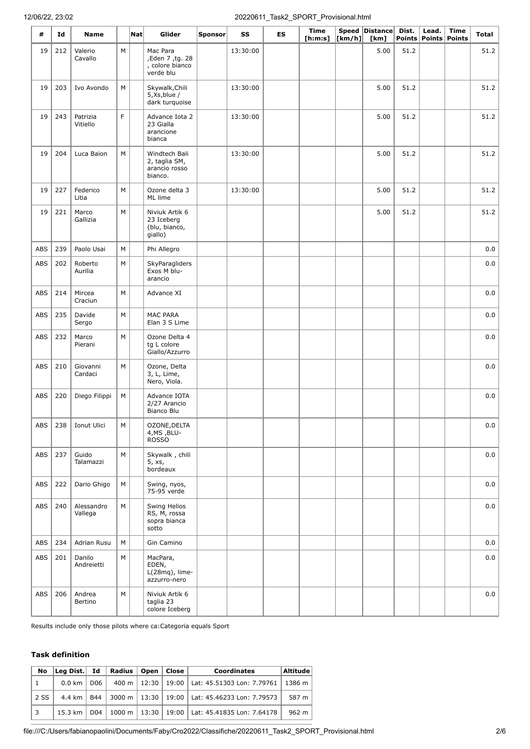### 12/06/22, 23:02 20220611\_Task2\_SPORT\_Provisional.html

| #          | Id  | <b>Name</b>                   |                                                                                                            | Nat | Glider                                                      | Sponsor | SS       | <b>ES</b> | <b>Time</b><br>[ <b>h</b> : <b>m</b> : <b>s</b> ] | $\lfloor \mathsf{km}/\mathsf{h} \rfloor \rfloor$ | Speed Distance<br>[km] | Dist.<br>Points | Lead. | <b>Time</b><br>Points   Points | <b>Total</b> |
|------------|-----|-------------------------------|------------------------------------------------------------------------------------------------------------|-----|-------------------------------------------------------------|---------|----------|-----------|---------------------------------------------------|--------------------------------------------------|------------------------|-----------------|-------|--------------------------------|--------------|
| 19         | 212 | Valerio<br>Cavallo            | М                                                                                                          |     | Mac Para<br>,Eden 7, tg. 28<br>, colore bianco<br>verde blu |         | 13:30:00 |           |                                                   |                                                  | 5.00                   | 51.2            |       |                                | 51.2         |
| 19         | 203 | Ivo Avondo                    | М                                                                                                          |     | Skywalk, Chili<br>5, Xs, blue /<br>dark turquoise           |         | 13:30:00 |           |                                                   |                                                  | 5.00                   | 51.2            |       |                                | 51.2         |
| 19         | 243 | Patrizia<br>Vitiello          | F                                                                                                          |     | Advance Iota 2<br>23 Gialla<br>arancione<br>bianca          |         | 13:30:00 |           |                                                   |                                                  | 5.00                   | 51.2            |       |                                | 51.2         |
| 19         | 204 | Luca Baion                    | M                                                                                                          |     | Windtech Bali<br>2, taglia SM,<br>arancio rosso<br>bianco.  |         | 13:30:00 |           |                                                   |                                                  | 5.00                   | 51.2            |       |                                | 51.2         |
| 19         | 227 | Federico<br>Litia             | M                                                                                                          |     | Ozone delta 3<br>ML lime                                    |         | 13:30:00 |           |                                                   |                                                  | 5.00                   | 51.2            |       |                                | 51.2         |
| 19         | 221 | Marco<br>Gallizia             | M                                                                                                          |     | Niviuk Artik 6<br>23 Iceberg<br>(blu, bianco,<br>giallo)    |         |          |           |                                                   |                                                  | 5.00                   | 51.2            |       |                                | 51.2         |
| ABS        | 239 | Paolo Usai                    | М                                                                                                          |     | Phi Allegro                                                 |         |          |           |                                                   |                                                  |                        |                 |       |                                | 0.0          |
| ABS        | 202 | Roberto<br>Aurilia            | М                                                                                                          |     | SkyParagliders<br>Exos M blu-<br>arancio                    |         |          |           |                                                   |                                                  |                        |                 |       |                                | $0.0\,$      |
| ABS        | 214 | Mircea<br>Craciun             | M                                                                                                          |     | Advance XI                                                  |         |          |           |                                                   |                                                  |                        |                 |       |                                | 0.0          |
| <b>ABS</b> | 235 | Davide<br>Sergo               | M                                                                                                          |     | <b>MAC PARA</b><br>Elan 3 S Lime                            |         |          |           |                                                   |                                                  |                        |                 |       |                                | 0.0          |
| ABS        | 232 | Marco<br>Pierani              | M                                                                                                          |     | Ozone Delta 4<br>tg L colore<br>Giallo/Azzurro              |         |          |           |                                                   |                                                  |                        |                 |       |                                | 0.0          |
| ABS        | 210 | Giovanni<br>Cardaci           | M                                                                                                          |     | Ozone, Delta<br>3, L, Lime,<br>Nero, Viola.                 |         |          |           |                                                   |                                                  |                        |                 |       |                                | 0.0          |
| ABS        | 220 | Diego Filippi                 | М                                                                                                          |     | Advance IOTA<br>2/27 Arancio<br>Bianco Blu                  |         |          |           |                                                   |                                                  |                        |                 |       |                                | 0.0          |
|            |     | ABS $\vert$ 238   Ionut Ulici | $\mathsf{M}% _{T}=\mathsf{M}_{T}\!\left( a,b\right) ,\ \mathsf{M}_{T}=\mathsf{M}_{T}\!\left( a,b\right) ,$ |     | OZONE, DELTA<br>4, MS, BLU-<br><b>ROSSO</b>                 |         |          |           |                                                   |                                                  |                        |                 |       |                                | $_{0.0}$     |
| ABS        | 237 | Guido<br>Talamazzi            | M                                                                                                          |     | Skywalk, chili<br>5, xs,<br>bordeaux                        |         |          |           |                                                   |                                                  |                        |                 |       |                                | 0.0          |
| <b>ABS</b> | 222 | Dario Ghigo                   | М                                                                                                          |     | Swing, nyos,<br>75-95 verde                                 |         |          |           |                                                   |                                                  |                        |                 |       |                                | 0.0          |
| ABS        | 240 | Alessandro<br>Vallega         | М                                                                                                          |     | Swing Helios<br>RS, M, rossa<br>sopra bianca<br>sotto       |         |          |           |                                                   |                                                  |                        |                 |       |                                | 0.0          |
| <b>ABS</b> | 234 | Adrian Rusu                   | М                                                                                                          |     | Gin Camino                                                  |         |          |           |                                                   |                                                  |                        |                 |       |                                | 0.0          |
| <b>ABS</b> | 201 | Danilo<br>Andreietti          | M                                                                                                          |     | MacPara,<br>EDEN,<br>$L(28mq)$ , lime-<br>azzurro-nero      |         |          |           |                                                   |                                                  |                        |                 |       |                                | 0.0          |
| <b>ABS</b> | 206 | Andrea<br>Bertino             | M                                                                                                          |     | Niviuk Artik 6<br>taglia 23<br>colore Iceberg               |         |          |           |                                                   |                                                  |                        |                 |       |                                | 0.0          |

Results include only those pilots where ca:Categoria equals Sport

#### **Task definition**

| No             | $ $ Leg Dist. $ $ Id $ $ |                 | Radius   Open   Close |  | <b>Coordinates</b>                                  | <b>Altitude</b> |
|----------------|--------------------------|-----------------|-----------------------|--|-----------------------------------------------------|-----------------|
| 1              | $0.0$ km $\vert$         | D <sub>06</sub> |                       |  | 400 m   12:30   19:00   Lat: 45.51303 Lon: 7.79761  | 1386 m          |
| 2 SS           | 4.4 km $\vert$           | <b>B44</b>      |                       |  | 3000 m   13:30   19:00   Lat: 45.46233 Lon: 7.79573 | 587 m           |
| $\overline{3}$ | $15.3 \text{ km}$ l      | D04             |                       |  | 1000 m   13:30   19:00   Lat: 45.41835 Lon: 7.64178 | 962 m           |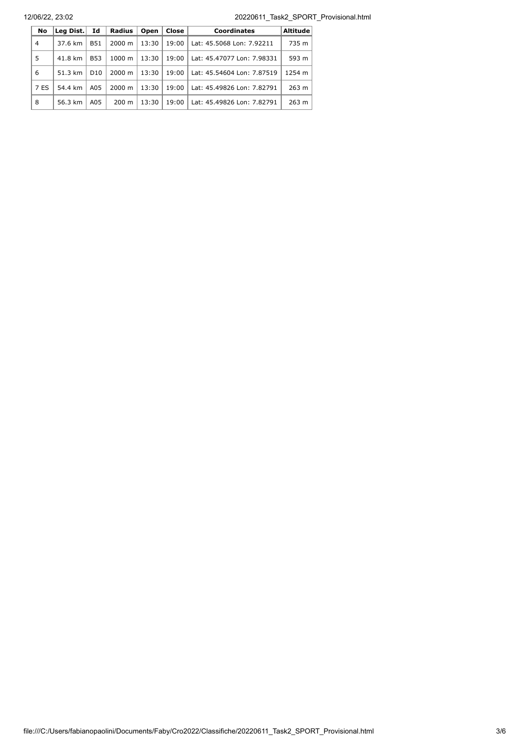12/06/22, 23:02 20220611\_Task2\_SPORT\_Provisional.html

| No             | Leg Dist. | Id              | <b>Radius</b>      | Open  | Close | <b>Coordinates</b>         | <b>Altitude</b> |
|----------------|-----------|-----------------|--------------------|-------|-------|----------------------------|-----------------|
| $\overline{4}$ | 37.6 km   | <b>B51</b>      | $2000 \; \text{m}$ | 13:30 | 19:00 | Lat: 45.5068 Lon: 7.92211  | 735 m           |
| 5              | 41.8 km   | <b>B53</b>      | $1000 \; \text{m}$ | 13:30 | 19:00 | Lat: 45.47077 Lon: 7.98331 | 593 m           |
| 6              | 51.3 km   | D <sub>10</sub> | $2000 \; \text{m}$ | 13:30 | 19:00 | Lat: 45.54604 Lon: 7.87519 | 1254 m          |
| 7 ES           | 54.4 km   | A05             | $2000 \; \text{m}$ | 13:30 | 19:00 | Lat: 45.49826 Lon: 7.82791 | 263 m           |
| 8              | 56.3 km   | A05             | $200 \text{ m}$    | 13:30 | 19:00 | Lat: 45.49826 Lon: 7.82791 | 263 m           |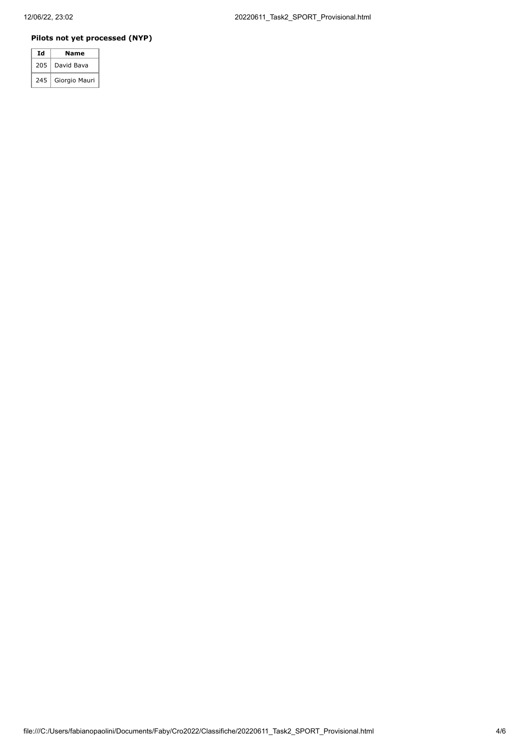### **Pilots not yet processed (NYP)**

| Ιd  | Name          |
|-----|---------------|
| 205 | David Bava    |
| 245 | Giorgio Mauri |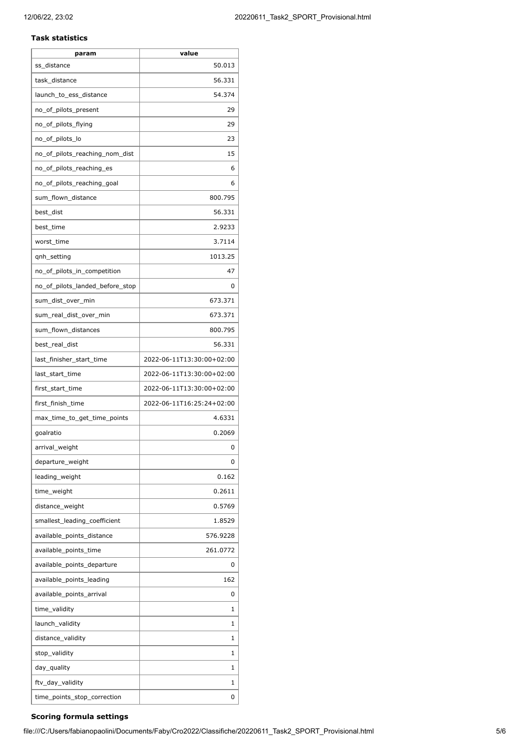#### **Task statistics**

| param                           | value                     |
|---------------------------------|---------------------------|
| ss_distance                     | 50.013                    |
| task_distance                   | 56.331                    |
| launch_to_ess_distance          | 54.374                    |
| no_of_pilots_present            | 29                        |
| no_of_pilots_flying             | 29                        |
| no_of_pilots_lo                 | 23                        |
| no_of_pilots_reaching_nom_dist  | 15                        |
| no_of_pilots_reaching_es        | 6                         |
| no_of_pilots_reaching_goal      | 6                         |
| sum_flown_distance              | 800.795                   |
| best_dist                       | 56.331                    |
| best_time                       | 2.9233                    |
| worst time                      | 3.7114                    |
| qnh_setting                     | 1013.25                   |
| no_of_pilots_in_competition     | 47                        |
| no_of_pilots_landed_before_stop | 0                         |
| sum_dist_over_min               | 673.371                   |
| sum_real_dist_over_min          | 673.371                   |
| sum_flown_distances             | 800.795                   |
| best_real_dist                  | 56.331                    |
| last_finisher_start_time        | 2022-06-11T13:30:00+02:00 |
| last_start_time                 | 2022-06-11T13:30:00+02:00 |
| first_start_time                | 2022-06-11T13:30:00+02:00 |
| first_finish_time               | 2022-06-11T16:25:24+02:00 |
| max_time_to_get_time_points     | 4.6331                    |
| goalratio                       | 0.2069                    |
| arrival_weight                  | 0                         |
| departure_weight                | 0                         |
| leading weight                  | 0.162                     |
| time_weight                     | 0.2611                    |
| distance_weight                 | 0.5769                    |
| smallest leading coefficient    | 1.8529                    |
| available_points_distance       | 576.9228                  |
| available_points_time           | 261.0772                  |
| available_points_departure      | 0                         |
| available_points_leading        | 162                       |
| available_points_arrival        | 0                         |
| time_validity                   | 1                         |
| launch_validity                 | 1                         |
| distance_validity               | 1                         |
| stop_validity                   | 1                         |
| day_quality                     | 1                         |
| ftv_day_validity                | 1                         |
| time_points_stop_correction     | 0                         |

# **Scoring formula settings**